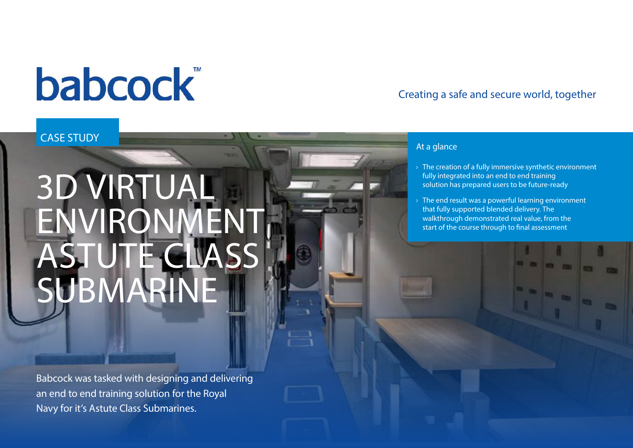# **babcock**

## Creating a safe and secure world, together

### CASE STUDY

# 3D VIRTUAL ENVIRONMEN ASTUTE CLASS SUBMARINE

Babcock was tasked with designing and delivering an end to end training solution for the Royal Navy for it's Astute Class Submarines.

#### At a glance

- $\rightarrow$  The creation of a fully immersive synthetic environment fully integrated into an end to end training solution has prepared users to be future-ready
- $\rightarrow$  The end result was a powerful learning environment that fully supported blended delivery. The walkthrough demonstrated real value, from the start of the course through to final assessment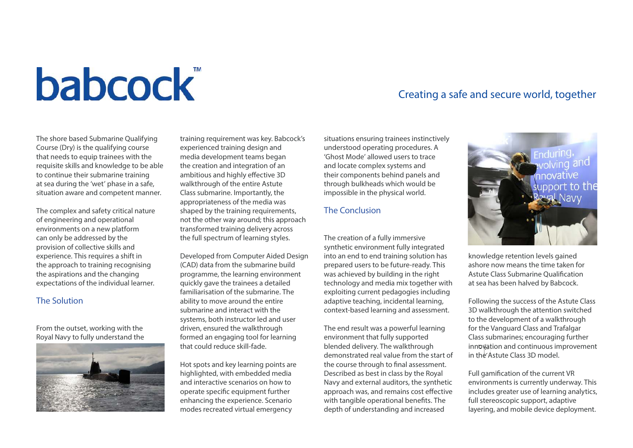# **babcock**

#### The shore based Submarine Qualifying Course (Dry) is the qualifying course that needs to equip trainees with the requisite skills and knowledge to be able to continue their submarine training at sea during the 'wet' phase in a safe, situation aware and competent manner.

The complex and safety critical nature of engineering and operational environments on a new platform can only be addressed by the provision of collective skills and experience. This requires a shift in the approach to training recognising the aspirations and the changing expectations of the individual learner.

#### The Solution

From the outset, working with the Royal Navy to fully understand the



training requirement was key. Babcock's experienced training design and media development teams began the creation and integration of an ambitious and highly effective 3D walkthrough of the entire Astute Class submarine. Importantly, the appropriateness of the media was shaped by the training requirements, not the other way around; this approach transformed training delivery across the full spectrum of learning styles.

Developed from Computer Aided Design (CAD) data from the submarine build programme, the learning environment quickly gave the trainees a detailed familiarisation of the submarine. The ability to move around the entire submarine and interact with the systems, both instructor led and user driven, ensured the walkthrough formed an engaging tool for learning that could reduce skill-fade.

Hot spots and key learning points are highlighted, with embedded media and interactive scenarios on how to operate specific equipment further enhancing the experience. Scenario modes recreated virtual emergency

situations ensuring trainees instinctively understood operating procedures. A 'Ghost Mode' allowed users to trace and locate complex systems and their components behind panels and through bulkheads which would be impossible in the physical world.

#### The Conclusion

The creation of a fully immersive synthetic environment fully integrated into an end to end training solution has prepared users to be future-ready. This was achieved by building in the right technology and media mix together with exploiting current pedagogies including adaptive teaching, incidental learning, context-based learning and assessment.

The end result was a powerful learning environment that fully supported blended delivery. The walkthrough demonstrated real value from the start of the course through to final assessment. Described as best in class by the Royal Navy and external auditors, the synthetic approach was, and remains cost effective with tangible operational benefits. The depth of understanding and increased

### Creating a safe and secure world, together



knowledge retention levels gained ashore now means the time taken for Astute Class Submarine Qualification at sea has been halved by Babcock.

Following the success of the Astute Class 3D walkthrough the attention switched to the development of a walkthrough for the Vanguard Class and Trafalgar Class submarines; encouraging further innovation and continuous improvement in the Astute Class 3D model.

Full gamification of the current VR environments is currently underway. This includes greater use of learning analytics, full stereoscopic support, adaptive layering, and mobile device deployment.